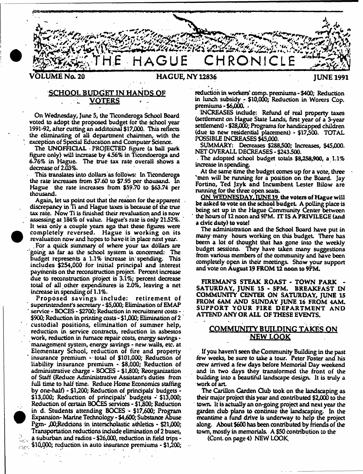

*\**

# **SCHOOL BUDGET IN HANDS OF . ■ VOTERS**

On Wednesday, June 5, the Ticonderoga School Board voted to adopt the proposed budget for the School year 1991-92, after cutting an additoinal \$17,000. This reflects the eliminating of all department chairmen, with the exception of Special Education and Computer Science.

The UNOFFICIAL - PROJECTED figure (a ball park figure only) will increase by 456% in Ticondoeroga and 6.76% in Hague. The true tax rate overall shows a decrease of 2.03%.

This translates into dollars as follows: In Ticonderoga the rate increases from \$7.60 to \$7.95 per thousand. In Hague the rate increases from \$59.70 to \$63.74 per thousand.

Again, let us point out that the reason for the apparent discrepancy in Ti and Hague taxes is because of the true tax rate. Now Ti is finished their revaluation and is now assessing at 184% of value. Hague's rate is only 21.52%. It was only a couple years ago that these figures were completely reversed. Hague is working on its revaluation now and hopes to have it in place next year.

**•**

**•**

. For a quick summary of where your tax dollars are "going as far as the school system is concerned: The budget represents a 1.1% increase in'spending. This includes \$254,000 for initial principal and interest payments on the reconstruction project. Percent increase due to reconstruction project is 3.1%; percent decrease total of all other expenditures is 2.0%, leaving a net increase in spending of 1.1%.

Proposed savings include: retirement of ' superintendent's secretary - \$5,000; Elimination of EMAP ' service - BOCES - \$2700; Reduction in recruitment costs - \$900; Reduction in printing costs • \$1,000; Elimination of 2 custodial positions, elimination of summer help, reduction in service contracts, reduction in asbestos work, reduction in furnace repair costs, energy savings management system, energy savings - new. walls, etc. at Elementary School, reduction of fire and property ' insurance premium - total of \$101,000; Reduction of liability insurance premium - \$8,000; Reduction of administrative charge - BOCES - \$1,800; Reorganization of Staff (Reduce Administrative Assistant's duties from full time to half time. Reduce Home Economics staffing by one-half) • \$1,200; Reduction of principals' budgets •  $$13,000$ ; Reduction of principals' budgets  $\div$  \$13,000; Reduction of certain BOCES services - \$1500; Reduction in d. Students attending BOCES - \$17,600; Program Expansion- Marine Technology - \$4,600; Substance Abuse Pgm-  $.00$ ;Redcions in interscholastic athletics - \$21,000; Transportation reductions include elimination of 2 buses, a suburban and radios - \$26,000, reduction in field trips - $\sim$  \$10,000; reduction in auto insurance premiums  $-$  \$1,200;

reduction in workers' comp, premiums - \$400; Reduction in lunch subsidy - \$10,000; Reduction in Worers Cop. premiums - \$6,000. '

INCREASES include: Refund of real property taxes (settlement on Hague State Lands, first year of a 3-year settlement) - \$28,000; Programs for handicapped children (due to new residential placement) - \$17500. TOTAL POSSIBLE INCREASES \$45,000.

SUMMARY: Decreases \$288,500; Increases, \$45,000. NET OVERALL DECREASES - \$243500.

The adopted school budget totals \$8,258,900, a. 1.1% increase in spending.

At the same time the budget comes up for a vote, three 'men will be running for a position on the Board. Jay Fortino, Ted Jzyk and Incumbent Lester Bilow are running for the three open seats.

**ON WEDNESDAY. TUNE 19 the voters of Hayue will** be asked to vote on the school budget. A polling place is being set up in the Hague Community Center between the hours of 12 noon and 9PM. IT IS A PRIVILEGE (and a dvic duty) to vote!

The administration and the School Board have put in many many hours working on this budget There has beem a lot of thought that has gone into the weekly budget sessions. They have taken many suggestions from various members of the community and have been completely open in their meetings. Show your support and vote on August 19 FROM 12 noon to 9PM.

FIREMAN'S STEAK ROAST - TOWN PARK SATURDAY, JUNE 15 - 5PM. BREAKFAST IN COMMUNITY CENTER ON SATURDAY, JUNE 15 FROM 6AM AND SUNDAY JUNE 16 FROM 4AM. SUPPORT YOUR FIRE DEPARTMENT AND ATTEND ANY OR ALL OF THESE EVENTS.

# COMMUNITY BUILDING TAKES ON NEW LOOK

, If you haven't seen the Community Building in the past few weeks, be sure to take a tour. Peter Foster and his crew arrived a few days before Memorial Day weekend and in two days they transformed the front of the building into a beautiful landscape design. It is truly a work of art

The Carillon Garden Club took on the landscaping as their major project this year and contributed \$2,000 to the town. It is actually an on-going project and next year the garden dub plans to continue the landscaping. In the meantime a fund drive is underway to help the project along. About \$600 has been contributed by friends of the town, mostly in memorials. A \$50 contribution to the

(Cont. on page 4) NEW LOOK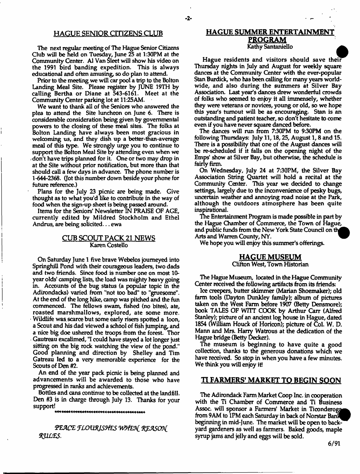# **HAGUE SENIOR CITIZENS CLUB**

The next regular meeting of The Hague Senior Citizens Club will be held on Tuesday, June 25 at 1:30PM at the Community Center. A1 Van Sleet will show his video on the 1991 bird banding expedition. This is always educational and often amusing, so do plan to attend.

Prior to the meeting we will car pool a trip to the Bolton Landing Meal Site. Please register by JUNE 19TH by catling Bertha or Diane at 543-6161. Meet at the Community Center parking lot at 11:25AM.

We want to thank all of the Seniors who answered the plea to attend the Site luncheon on June 6. There is considerable consideration being given by governmental powers to the closing of these meal sites. The folks at Bolton Landing have always been most gracious in welcoming us, and they dish up a better-than-average meal of this type. We strongly urge you to continue to support the Bolton Meal Site by attending even when we don't have trips planned for it. One or two may drop in at the Site without prior notification, but more than that should call a few days in advance. The phone number is 1-644-2368. (Jot this number down beside your phone for future reference.)

Plans for the July 23 picnic are being made. Give thought as to what you'd like to contribute in the way of food when the sign-up sheet is being passed around.

Items for the Seniors' Newsletter IN PRAISE OF AGE, currently edited by Mildred Stockholm and Ethel Andrus, are being solicited... ewa

# **CUB SCOUT PACK 21 NEWS** Karen Costello

On Saturday June 1 five brave Webelos journeyed into SpringhiU Pond with their courageous leaders, two dads and two friends. Since food is number one on most 10 year olds' camping lists, the load was mighty heavy going in. Accounts of the bug status (a popular topic in the Adirondacks) varied from "not too bad" to "gruesome". At the end of the long hike, camp was pitched and the fun commenced. The fellows swam, fished (no bites), ate, roasted marshmallows, explored, ate some more. Wildlife was scarce but some early risers spotted a loon, a Scout and his dad viewed a school of fish jumping, and a nice big doe ushered the troops from the forest. Thor Gautreau excalimed, "I could have stayed a lot longer just sitting on the big rock watching the view of the pond." Good planning and direction by Shelley and Tim Gatreau led to a very memorable experience for the Scouts of Den #2.

An end of the year pack picnic is being planned and advancements will be awarded to those who have progressed in ranks and achievements.

Bottles and cans continue to be collected at the landfill. Den #3 is in charge through July 13. Thanks for your support!

PEACE FLOURISHES WHEN REASON *fKZWES.*

# **HAGUE SUMMER ENTERTAINMENT** PROGRAM Kathy Santaniello

Hague residents and visitors should save thei? Thursday nights in July and August for weekly square dances at the Community Center with the ever-popular Stan Burdick, who has been calling for many years worldwide, and also during the summers at Silver Bay Association. Last year's dances drew wonderful crowds of folks who seemed to enjoy it all immensely, whether they were veterans or novices, young or old, so we hope this year's turnout will be as encouraging. Stan is an outstanding and patient teacher, so don't hesitate to come even if you have never square danced before.

The dances will run from 7:30PM to 930PM on the following Thursdays: July 11,18,25, August 1,8 and 15. There is a possibility that one of the August dances will be re-scheduled if it falls on the opening night of the Emps' show at Silver Bay, but otherwise, the schedule is fairly firm.

On Wednesday, July 24 at 7:30PM, the Silver Bay Association String Quartet will hold a recital at the Community Center. This year we decided to change settings, largely due to the inconvenience of pesky bugs, uncertain weather and annoying road noise at the Park, although the outdoors atmosphere has been quite inspirational.

The Entertainment Program is made possible in part by the Hague Chamber of Commerce, the Town of Hague, and public funds from the New York State Council on Arts and Warren County, NY.

We hope you will enjoy this summer's offerings.

#### **HAGUE MUSEUM**

Clifton West, Town Historian

The Hague Museum, located in the Hague Community Center received the following artifacts from its friends:

Ice creepers, butter skimmer (Marian Shoemaker); old farm tools (Dayton Dunkley family); album of pictures taken on the West Farm before 1907 (Betty Densmore); book TALES OF WITT COOK by Arthur Carr (Alfred Stanley); picture of an ancient log house in Hague, dated 1854 (William Houck of Horicon); picture of Col. W. D. Mann and Mrs. Harry Watrous at the dedication of the Hague bridge (Betty Decker),

The museum is beginning to have quite a good collection, thanks to the generous donations which we have received. So stop in when you have a few minutes. We think you will enjoy it!

# **TLFARMERS' MARKET TO BEGIN SOON**

The Adirondack Farm Market Coop Inc. in cooperation with the Ti Chamber of Commerce and Ti Business Assoc. will sponsor a Farmers' Market in Ticonderoga from 9AM to 1PM each Saturday in back of Norstar Bani beginning in mid-June. The market will be open to backyard gardeners as well as farmers. Baked goods, maple syrup jams and jelly and eggs will be sold.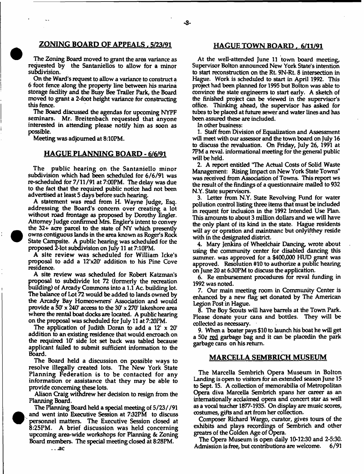# **ZONING BOARD OF APPEALS . 5/23/91 HAGUE TOWN BOARD . 6/11/91**

The Zoning Board moved to grant the area variance as requested by the Santaniellos to allow for a minor subdivision.

On the Ward's request to allow a variance to construct a 6 foot fence along the property line between his marina storage facility and the Busy Bee Trailer Park, the Board moved to grant a 2-foot height variance for constructing this fence.

The Board discussed the agendas for upcoming NYFF seminars. Mr. Breitenbach requested that anyone interested in attending please notify him as soon as possible.

Meeting was adjourned at 8:10PM.

# **HAGUE PLANNING BOARD - 6/6/91**

The public hearing on the Santaniello minor subdivision which had been scheduled for 6/6/91 was re-scheduled for 7/11/91 at 7:00PM. The delay was due to the fact that the required public notice had not been advertised at least 5 days before such hearing.

A statement was read from H. Wayne Judge, Esq. addressing the Board's concern over creating a lot without road frontage as proposed by Dorothy Engler. Attorney Judge confirmed Mrs. Engler's intent to convey the 32+ acre parcel to the state of NY which presently owns contiguous lands in the area known as Roger's Rode State Campsite. A public hearing was scheduled for the proposed 2-lot subdivision on July 11 at 7:10PM.

A site review was scheduled for William Icke's proposal to add a 12'x20' addition to his Pine Cove residence.

A site review was scheduled for Robert Katzman's proposal to subdivide lot 72 (formerly the recreation building) of Aready Commons into a 1.1 Ac. building lot. The balance of Lot 72 would be added to lands owned by the Arcady Bay Homeowners' Association and would provide a 50' x 240' access to the 30' x 270' lakeshore area where the rental boat docks are located. A public hearing on the proposal was scheduled for July 11 at 7:20PM.

The application of Judith Doran to add a  $12^{\circ} \times 20^{\circ}$ addition to an existing residence that would encroach on the required 10\* side lot set back was tabled because applicant failed to submit sufficient information to the Board.

The Board held a discussion on possible ways to resolve illegally created lots. The New York State Planning Federation is to be contacted for any information or assistance that they may be able to provide concerning these lots.

Alison Craig withdrew her decision to resign from the Planning Board.

The Planning Board held a special meeting of 5/23//91 and went into Executive Session at 732PM to discuss personnel matters. The Executive Session closed at 8:25PM. A brief discussion was held concerning upcoming area-wide workshops for Planning & Zoning Board members. The special meeting closed at 8:28PM.

At the well-attended June 11 town board meeting, Supervisor Bolton announced New York State's intention to start reconstruction on the Rt 9N-Rt, 8 intersection in Hague. Work is scheduled to start in April 1992. This project had been planned for 1995 but Bolton was able to convince the state engineerrs to start early. A sketch of the finished project can be viewed in the supervisor's office. Thinking ahead, the supervisor has asked for tubes to be placed at future sewer and water lines and has been assured these are included.

In other business:

1. Staff from Division of Equalization and Assessment will meet with our assessor and the town board on July 16 to discuss the revaluation. On Friday, July 26, 1991 at 7PM a reval. informational meeting for the general public will be held.

2. A report entitled "The Actual Costs of Solid Waste Management: Rising Impact on New York State Towns" was received from Association of Towns. This report ws the result of the findings of a questionnaire mailed to 932 N.Y. State supervisors.

3. Letter from N.Y. State Revolving Fund for water pollution control listing three items that must be included in request for inclusion in the 1992 Intended Use Flan. This amounts to about 3 million dollars and we will have the only plant of its kind in the state. Hague residents will ay or optation and maintnanc but onlyifthey reside with in the designated district.

4. Mary Jenkins of Wheelchair Dancing, wrote about using the community center for disabled dancing this summer, was approved for a \$400,000 HUD grant was approved. Resolution #10 to authorize a public hearing on June 20 at 630PM to discuss the application.

6. Re embursement procedures for reval funding in 1992 was noted.

7. Our main meeting room in Community Center is enhanced by a new flag set donated by The American Legion Post in Hague.

8. The Boy Scouts will have barrels at the Town Park. Please donate your cans and bottles. They will be collected as necessary.

9. When a boater pays \$10 to launch his boat he will get a 50¢ red garbage bag and it can be placedin the park garbage cans on his return.

### **MARCELLA SEMBR1CH MUSEUM**

The Marcella Sembrich Opera Museum in Bolton Landing is open to visitors for an extended season June 15 to Sept. 15. A collection of memorabilia of Metropolitan Opera diva Marcella Sembrich spans her career as an internationally acclaimed opera and concert star as well as a vocal teacher 1877-1935. On display are music scores, costumes, gifts and art from her collection.

Composer Richard Wargo, curator, gives tours of the exhibits and plays recordings of Sembrich and other greatrs of the Golden Age of Opera.

The Opera Museum is open daily 10-12:30 and 2-5:30. Admission is free, but contributions are welcome.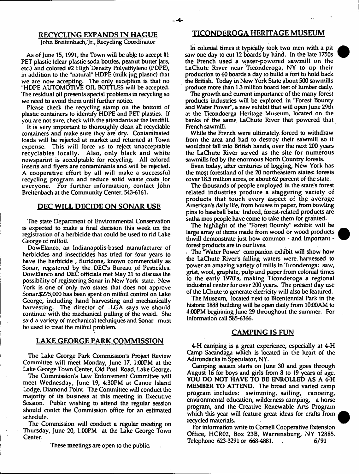John Breitenbach, Jr., Recycling Coordinator

As of June 15,1991, the Town will be able to accept #1 PET plastic (clear plastic soda bottles, peanut butter jars, etc.) and colored #2 High Density Polyethylene (PDPE), in addition to the "natural" HDPE (milk jug plastic) that we are now accepting. The only exception is that no "HDPE AUTOMOTIVE OIL BOTTLES will be accepted. The residual oil presents special problems in recycling so we need to avoid them until further notice.

Please check the recycling stamp on the bottom of plastic containers to identify HDPE and PET plastics. If you are not sure, check with the attendants at the landfill.

It is very important to thoroughly clean all recyclable containers and make sure they are dry. Contaminated loads will be rejected at market and returned at Town expense. This will force us to reject unacceptable recyclables locally. Also, only black and white newsparint is accedptable for recycling. All colored inserts and flyers are contaminants and will be rejected. A cooperative effort by all will make a successful recycling program and reduce solid waste costs for everyone. For further information, contact John Breitenbach at the Community Center, 543-6161.

# **DEC WILL DECIDE ON SONAR USE**

The state Department of Environmental Conservation is expected to make a final decision this week on the registration of a herbicide that could be used to rid Lake George of milfoil.

DowElanco, an Indianapolis-based manufacturer of herbicides and insecticides has tried for four years to have the herbicide , fluridone, known commercially as Sonar, registered by the DEC's Bureau of Pesticides. DowElanco and DEC officials met May 21 to discuss the possibility of registering Sonar in New York state. New York is one of only two states that does not approve Sonar.\$275,000 has been spent on milfoil control on Lake George, including hand harvesting and mechanically harvesting. The director of ,LGA says we should continue with the mechanical pulling of the weed. She said a variety of mechanical techniques and Sonar must be used to treat the milfoil problem.

# **LAKE GEORGE PARK COMMISSION**

The Lake George Park Commission's Project Review Committee will meet Monday, June 17, 1:00PM at the Lake George Town Center, Old Post Road, Lake George.

The Commission's Law Enforcement Committee will meet Wednesday, June 19, 4:30PM at Canoe Island Lodge, Diamond Point. The Committee will conduct the majority of its business at this meeting in Executive Session. Public wishing to attend the regular session should contct the Commission office for an estimated schedule.

The Commission will conduct a regular meeting on Thursday, June 20, 1:00PM at the Lake George Town Center.

These meetings are open to the public.

# **RECYCLING EXPANDS IN HAGUE TICONDEROGA HERITAGE MUSEUM**

In colonial times it typically took two men with a pit saw one day to cut 12 boards by hand. In the late 1750s the French used a water-powered sawmill on the LaChute River near Ticonderoga, NY to up their production to 60 boards a day to build a fort to hold back the British. Today in New York State about 500 sawmills produce more than 13 million board feet of lumber daily.

The growth and current importance of the many forest products industries will be explored in "Forest Bounty and Water Power", a new exhibit that will open June 29th at the Ticondoerga Heritage Museum, located on the banks of the same LaChute River that powered that French sawmill.

While the French were ultimately forced to withdraw from the area and had to destroy their sawmill so it wouldnot fall into British hands, over the next 200 years the LaChute River served as the site for numerous sawmills fed by the enormous North Country forests.

Even today, after centuries of logging, New York has the most forestland of the 20 northeastern states: forests coyer 183 million acres, or about 62 percent of the state.

The thousands of people employed in the state's forest related industries produce a staggering variety of products that touch every aspect of the average American's daily life, from houses to paper, from bowling pins to baseball bats. Indeed, forest-related products are sntha mos people have come to take them for granted.

The highlight of the "Forest Bounty" exhibit will be large array of items made from wood or wood products thwill demonstrate just how common - and important forest products are in our lives.

. The "Water Power" companion exhibit will show how the LaChute River's falling waters were, harnessed to power an amazing variety of mills in Ticonderoga: saw, grist, wool, graphite, pulp and paper from colonial times to the early 1970's, making Ticonderoga a regional industrial center for over 200 years. The present day use of the LChute to generate elecricity will also be featured.

The Museum, located next to Bicentennial Park in the historic 1888 building will be open daily from 10:00AM to 4:00PM beginning June 29 throughout the summer. For information call 585-6366.

#### **CAMPING IS FUN**

4-H camping is a great experience, especially at 4-H Camp Sacandaga which is located in the heart of the Adirondacks in Speculator, NY.

Camping season starts on June 30 and goes through August 16 for boys and girls from 8 to 19 years of age. YOU DO NOT HAVE TO BE ENROLLED AS A 4-H MEMBER TO ATTEND. The broad and varied camp program includes: swimming, sailing, canoeing, environmental education, wilderness camping, a horse program, and the Creative Renewable Arts Program which this year will feature great ideas for crafts from recycled materials.

For information write to Cornell Cooperative Extension Office, HCR02, Box 23B, Warrensburg, NY 12885. Telephone 623-3291 or 668-4881. . 6/91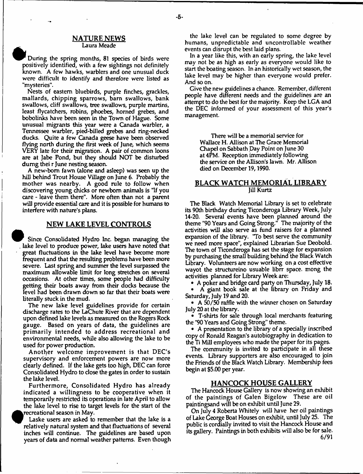#### **NATURE NEWS** Laura Meade

During the spring months, 81 species of birds were positively identified, with a few sightings not definitely known. A few hawks, warblers and one unusual duck were difficult to identify and therefore were listed as "mysteries".

Nests of eastern bluebirds, purple finches, grackles, mallards, chipping sparrows, bam swallows, bank swallows, cliff swallows, tree swallows, purple martins, least flycatchers, robins, phoebes, homed grebes, and bobolinks have been seen in the Town of Hague. Some unusual migrants this year were a Canada warbler, a Tennessee warbler, pied-billed grebes and ring-necked ducks. Quite a few Canada geese have been observed flying north during the first week of June, which seems VERY late for their migration. A pair of common loons are at Jabe Pond, but they should NOT be disturbed dumg thei r June nesting season.

A new-born fawn (alone and asleep) was seen up the hill behind Trout House Village on June 6. Probably the mother was nearby. A good rule to follow when discovering young chicks or newborn animals is "If you care - leave them there". More often than not a parent will provide essential care and it is possible for humans to interfere with nature's plans.

# **NEW LAKE LEVEL CONTROLS**

Since Consolidated Hydro Inc. began managing the . lake level to produce power, lake users have noted that great fluctuations in the lake level have become more frequent and that the resulting problems have been more severe. Last spring and summer the level surpassed the maximum allowable limit for long stretches on several occasions. At other times, some people had difficulty getting their boats away from their docks because the level had been drawn down so far that their boats were literally stuck in the mud.

The new lake level guidelines provide for certain discharge rates to the LaChute River that are dependent upon defined lake levels as measured on the Rogers Rock gauge. Based on years of data, the guidelines are prim arily intended to address recreational and environmental needs, while also allowing the lake to be used for power production.

A nother welcome improvement is that DEC'S supervisory and enforcement powers are now more clearly defined. If the lake gets too high, DEC can force Consolidated Hydro to close the gates in order to sustain the lake level.

Furtherm ore, Consolidated Hydro has already indicated a willingness to be cooperative when it temporarily restricted its operations in late April to allow the lake level to rise to target levels for the start of the recreational season in May.

Laske users are asked to remember that the lake is a relatively natural system and that fluctuations of several inches will continue. The guidelines are based upon years of data and normal weather patterns. Even though

**•**

the lake level can be regulated to some degree by humans, unpredictable and uncontrollable weather events can disrupt the best laid plans.

In a year like this, with an early spring, the lake level may not be as high as early as everyone would like to start the boating season. In an historically wet season, the lake level may be higher than everyone would prefer. And so on.

Give the new guidelines a chance. Remember, different people have different needs and the guidelines are an attempt to do the best for the majority. Keep the LGA and the DEC informed of your assessment of this year's management.

> There will be a memorial service for Wallace H. Allison at The Grace Memorial Chapel on Sabbath Day Point on June 30 at 4PM. Reception immediately following the service on the Allison's lawn. Mr. Allison died on December 19,1990.

# **BLACK WATCH MEMORIAL LIBRARY** Jill Kurtz

The Black Watch Memorial Library is set to celebrate its 90th birthday during Ticonderoga Library Week, July 14-20. Several events have been planned around the theme "90 Years and Going Strong." The majority of the activities will also serve as fund raisers for a planned expansion of the library. 'To best serve the community we need more space", explained Librarian Sue Deobold. The town of Ticonderoga has set the stage for expansion by purchasing the small building behind the Black Watch Library. Volunteers are now working on a cost effective wayot the structureino usuable librr space, mong the activities planned for Library Week are:

• A poker and bridge card party on Thursday, July 18.

• A giant book sale at the library on Friday and Saturday, July 19 and 20.

• A 50/50 raffle with the winner chosen on Saturday July 20 at the library.

• T-shirts for sale through local merchants featuring the "90 Years and Going Strong" theme.

• A presentation to the library of a specially inscribed copy of Ronald Reagan's autobiography in dedication to the Ti Mill employees who made the paper for its pages.

The community is invited to participate in all these events. Library supporters are also encouraged to join the Friends of the Black Watch Library. Membership fees begin at \$5.00 per year.

# **HANCOCK HOUSE GALLERY**

The Hancock House Gallery is now showing an exhibit of the paintings of Galen Bigelow These are oil paintingsand will be on exhibit until June 29.

On July 4 Roberta Whitely will have her oil paintings of Lake George Boat Houses on exhibit, until July 25. The public is cordially invited to visit the Hancock House and its gallery. Paintings in both exhibits will also be for sale. 6/91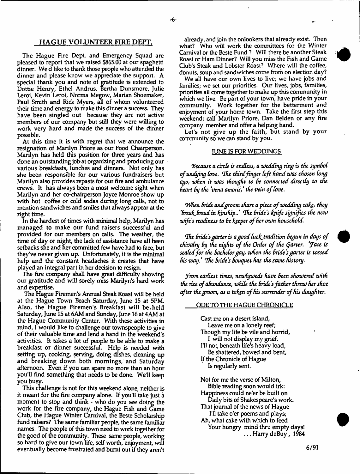# **HAGUE VOLUNTEER FIRE DEFT.**

The Hague Fire Dept, and Emergency Squad are pleased to report that we raised \$865.00 at our spaghetti dinner. We'd like to thank those people who attended the dinner and please know we appreciate the support. A special thank you and note of gratitude is extended to Dottie Henry, Ethel Andrus, Bertha Dunsmore, Julie Leroi, Kevin Leroi, Norma Megow, Marian Shoemaker, Paul Smith and Rick Myers, all of whom volunteered their time and energy to make this dinner a success. They have been singled out because they are not active members of our company but still they were willing to work very hard and made the success of the dinner possible.

At this time it is with regret that we announce the resignation of Marilyn Priore as our Food Chairperson. Marilyn has held this position for three years and has done an outstanding job at organizing and producing our various breakfasts, lunches and dinners. Not only has she been responsible for our various fundraisers but Marilyn also provides repasts for our fire and ambulance crews. It has always been a most welcome sight when Marilyn and her co-chairperson Joyce Monroe show up with hot coffee or cold sodas during long calls, not to mention sandwiches and smiles that always appear at the right time.

In the hardest of times with minimal help, Marilyn has managed to make our fund raisers successful and provided for our members on calls. The weather, the time of day or night, the lack of assistance have all been setbacks she and her committed few have had to face, but they've never given up. Unfortunately, it is the minimal help and the constant headaches it creates that have played an integral part in her decision to resign.

The fire company shall have great difficulty showing our gratitude and will sorely miss Marilyn's hard work and expertise.

The Hague Firemen's Annual Steak Roast will be held at the Hague Town Beach Saturday, June 15 at 5PM. Also, the Hague Firemen's Breakfast will be.held Saturday, June 15 at 6AM and Sunday, June 16 at 4AM at the Hague Community Center. With these activities in mind, I would like to challenge our townspeople to give of their valuable time and lend a hand in the weekend's activities. It takes a lot of people to be able to make a breakfast or dinner successful. Help is needed with setting up, cooking, serving, doing dishes, cleaning up and breaking down both mornings, and Saturday afternoon. Even if you can spare no more than an hour you'll find something that needs to be done. We'll keep you busy.

This challenge is not for this weekend alone, neither is it meant for the fire company alone. If you'll take just a moment to stop and think - who do you see doing the work for the fire company, the Hague Fish and Game Club, the Hague Winter Carnival, the Beste Scholarship fund raisers? The same familiar people, the same familiar names. The people of this town need to work together for the good of the community. These same people, working so hard to give our town life, self worth, enjoyment, will eventually become frustrated and burnt out if they aren't

already, and join the onlookers that already exist. Then what? Who will work the committees for the Winter Carnival or the Beste Fund ? Will there be another Steak Roast or Ham Dinner? Will you miss the Fish and Game Qub's Steak and Lobster Roast? Where will the coffee, donuts, soup and sandwiches come from on election day?

We all have our own lives to live; we have jobs and families; we set our priorities. Our lives, jobs, families, priorities all come together to make up this community in which we live. Be part of your town, have pride in your community. Work together for the betterment and enjoyment of your home town. Take the first step this weekend; call Marilyn Priore, Dan Belden or any fire company member and offer a helping hand.

Let's not give up the faith, but stand by your community so we can stand by you.

# TUNE IS FOR WEDDINGS

*because a circle is endless, a wedding ring is the symbol* of undying love. The third finger left hand was chosen long *ago, when it was thought to Be connected directly to the heart By the vena amoris,* \* *the vein o f love.*

*When bride and groom share a piece of wedding cake, they 'Break. Bread in kinship..' The Bride's knife signifies the new* wife's readiness to be keeper of her own household.

*The bride's garter is a good luck, tradition begun in days of chivalry by the nights of the Order of the Garter. 'Tate is sealed for the Bachelor gay, when the Bride's garter is tossed his way \* The Bride's Bouquet has the same history.*

*Jrom earliest times, newlyweds have Been showered with the rice of abundance, while the bride's father threw her shoe* after the groom, as a token of his surrender of his daughter.

## ODE TO THE HAGUE CHRONICLE

Cast me on a desert island, Leave me on a lonely reef; Though my life be vile and horrid, I will not display my grief. I'll not, beneath life's heavy load, Be shattered, bowed and bent, tf the Chronicle of Hague Is regularly sent.

Not for me the verse of Milton, Bible reading soon would irk: Happiness could ne'er be built on Daily bits of Shakespeare's work. That journal of the news of Hague I'U take o'er poems and plays; Ah, what cake with which to feed Your hungry mind thru empty days! ... Harry deBuy, 1984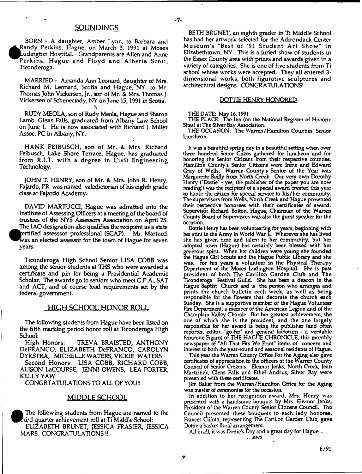# **SOUNDINGS**

BORN - A daughter, Amber Lynn, to Barbara and Randy Perkins, Hague, on March 3, 1991 at Moses Ludington Hospital. Grandparents are Allen and Anne Perkins, Hague and Floyd and Alberta Scott, Ticonderoga.

MARRIED - Amanda Ann Leonard, daughter of Mrs. Richard M. Leonard, Scotia and Hague, NY. to Mr. Thomas John Vickersen, Jr., son of Mr. & Mrs. Thomas J. Vickersen of Schenectady, NY on June 15,1991 in Scotia. *%*

RUDY MEOLA, son of Rudy Meola, Hague and Sharon Lamb, Glens Falls, graduated from Albany Law School on June 1. He is now associated with Richard J. Miller Assoc. PC in Albany, NY.

HANK FEIBUSCH, son of Mr. & Mrs. Richard Feibusch, Lake Shore Terrace, Hague, has graduated from R.I.T. with a degree in Civil Engineering Technology.

JOHN T. HENRY, son of Mr. & Mrs. John R. Henry, Fajardo, PR was named valedictorian of his eighth grade class at Fajardo Academy.

DAVID MARTUCQ, Hague was admitted into the Institute of Assessing Officers at a meeting of the board of trustees of the NYS Assessors Association on April 25. The LAO designation also qualifies the recipient as a state<br>retified assesssor professional (SCAP). Mr. Martucci rertified assesssor professional (SCAP). vas an elected assessor for the town of Hague for seven years.

**•**

Ticonderoga High School Senior LISA COBB was among the senior students at THS who were awarded a certificate and pin for being a Presidential Academic Scholar. The awards go to seniors who meet G.P.A., SAT and ACT, and of course load requirements set by the federal government.

# HIGH SCHOOL HONOR ROLL

The following students from Hague have been listed on the fifth marking period honor roll at Ticonderoga High School:

High Honors: TREVA BRAISTED, ANTHONY DeFRANCO, ELIZABETH DeFRANCO, CAROLYN DYKSTRA, MICHELLE WATERS, VICKIE WATERS

Second Honors: LISA COBB, RICHARD COBB, ALISON La COURSE, JENNI OWENS, LEA PORTER, KELLY YAW

CONGRTATULATIONS TO ALL OF YOU1!

# MIDDLE SCHOOL

Th<br>nird<br>El<br>MAI The following students from Hague are named to the ird quarter achievement roll at Ti Middle School: ELIZABETH BRUNET, JESSICA FRASIER, JESSICA MARS. CONGRATULATIONS!!

BETH BRUNET, an eighth grader in Ti Middle School has had her artwork selected for the Adirondack Center M useum 's "Best of '91 Student Art Show" in Elizabethtown, NY. This is a juried show of students in the Essex County area with prizes and awards given in a variety of categories. She is one of five students from Ti school whose works were accepted. They all entered 3 dimensional works, both figurative sculptures and architectural designs. CONGRATULATIONS!

# DOTTIE HENRY HONORED

#### THE DATE: May 16,1991

- 7-

THE PLACE: Tne Inn (on the National Register of Historic Sites) at The Silver Bay Association.

THE OCCASION: The Warren/Hamilton Counties' Senior Luncheon.

It was a beautiful spring day in a beautiful setting when over three hundred Senor Ciizes gathered for luncheon and for honoring the Senior Citizens from their respective counties. Hamilton County's Senior Citizens were Irene and Edward Gray of Wells. Warren County's Senior of the Year was Marguerite Reilly from North Creek. Our very own Dorothy Henry ("Dottie" - yes, the publisher of the paper you are now reading!) was the recipient of a special award created this year to honor the citizen for special service to his/her community. The supervisors from Wells, North Creek and Hague presented their respective honorees with their certificates of award. Supervisor Richard Bolton, Hague, Chairman of the Warren County Board of Supervisors was also the guest speaker for the occasion.

Dottie Henry has been volunteering for years, beginning with her stint in the Army in World War U. Wherever she has lived she has given time and talent to her community, but her adopted town (Hague) has certainly been blessed with her generous spirit. When her children were young she founded the Hague Girl Scouts and the Hague Public Library and she was, for ten years a volunteer in the Physical Therapy Department of the Moses Ludington Hospital. She is past president of both The Carillon Carden Club and The Ticonderoga Festival Guild. She has been a deacon in the Hague Baptist Church and is the person who arranges and prints the church bulletin each week, as well as being responsible for the flowers that decorate the church each Sunday. She is a supportive member of the Hague Volunteer Fire Department, a member of the American Legion and of the Champlain Valley Chorale. But her greatest achievement, the one of which she is the proudest, and the one largely responsible for her award is being the publisher (and often reporter, editor, "go-fer" and general factotum - a veritable feminine Figaro) of THE HAGUE CHRONICLE, this monthly newspaper of "All That Fits We Print" items of concern and interest to both the year-round and seasonal residents of Hague.

This year the Warren County Office For the Aging also gave certificates of appreciation to the officers of the Warren County Council of Senior Citizens. Eleanor Jenks, North Creek, Jean Martzinek, Glens Falls and Ethel Andrus, Silver Bay were presented with these ceritifcates.

Jim Baker from the Warren/Hamilton Office for the Aging was master of ceremonies for the occasion.

In addition to her recognition award, Mrs. Henry was presented with a handsome bouquet by Mrs. Eleanor Jenks, President of the Warren County Senior Citizens Council. The Council presented these bouquets to each lady honoree. Frances Clifotn, representing The Carillon Garden Club, gave Dottie a basket floral arrangement.

All in all, it was Dottie's Day and a great day for Hague..

t

.. .ewa